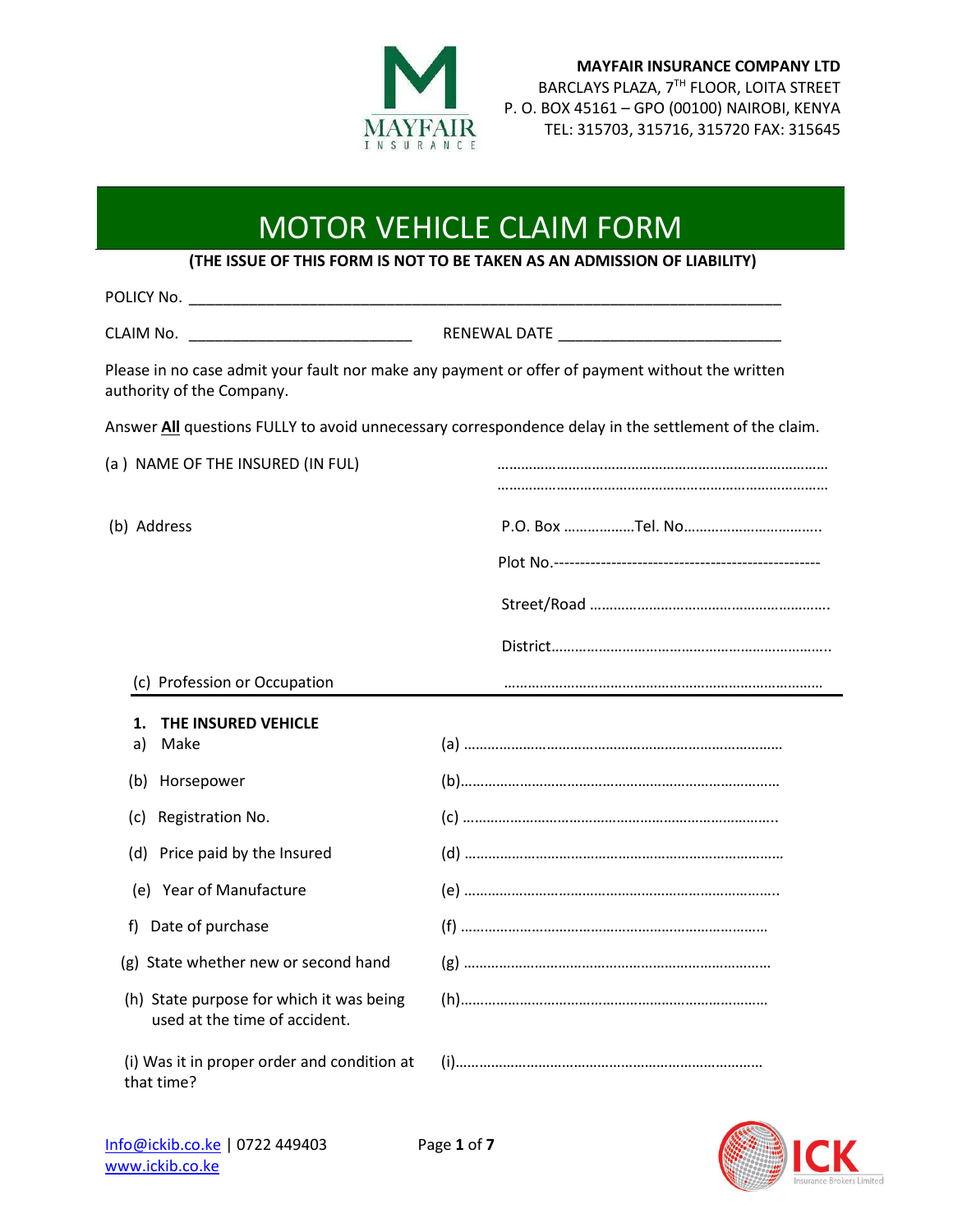

**MAYFAIR INSURANCE COMPANY LTD** BARCLAYS PLAZA, 7TH FLOOR, LOITA STREET P. O. BOX 45161 – GPO (00100) NAIROBI, KENYA TEL: 315703, 315716, 315720 FAX: 315645

## MOTOR VEHICLE CLAIM FORM

**(THE ISSUE OF THIS FORM IS NOT TO BE TAKEN AS AN ADMISSION OF LIABILITY)**

| CLAIM No.                                                                 | RENEWAL DATE And the contract of the contract of the contract of the contract of the contract of the contract of the contract of the contract of the contract of the contract of the contract of the contract of the contract |
|---------------------------------------------------------------------------|-------------------------------------------------------------------------------------------------------------------------------------------------------------------------------------------------------------------------------|
| authority of the Company.                                                 | Please in no case admit your fault nor make any payment or offer of payment without the written                                                                                                                               |
|                                                                           | Answer All questions FULLY to avoid unnecessary correspondence delay in the settlement of the claim.                                                                                                                          |
| (a) NAME OF THE INSURED (IN FUL)                                          |                                                                                                                                                                                                                               |
| (b) Address                                                               |                                                                                                                                                                                                                               |
|                                                                           |                                                                                                                                                                                                                               |
| (c) Profession or Occupation                                              |                                                                                                                                                                                                                               |
| THE INSURED VEHICLE<br>1.<br>a)<br>Make                                   |                                                                                                                                                                                                                               |
| (b) Horsepower                                                            |                                                                                                                                                                                                                               |
| (c) Registration No.                                                      |                                                                                                                                                                                                                               |
| (d) Price paid by the Insured                                             |                                                                                                                                                                                                                               |
| (e) Year of Manufacture                                                   |                                                                                                                                                                                                                               |
| f) Date of purchase                                                       |                                                                                                                                                                                                                               |
| (g) State whether new or second hand                                      |                                                                                                                                                                                                                               |
| (h) State purpose for which it was being<br>used at the time of accident. |                                                                                                                                                                                                                               |
| (i) Was it in proper order and condition at<br>that time?                 |                                                                                                                                                                                                                               |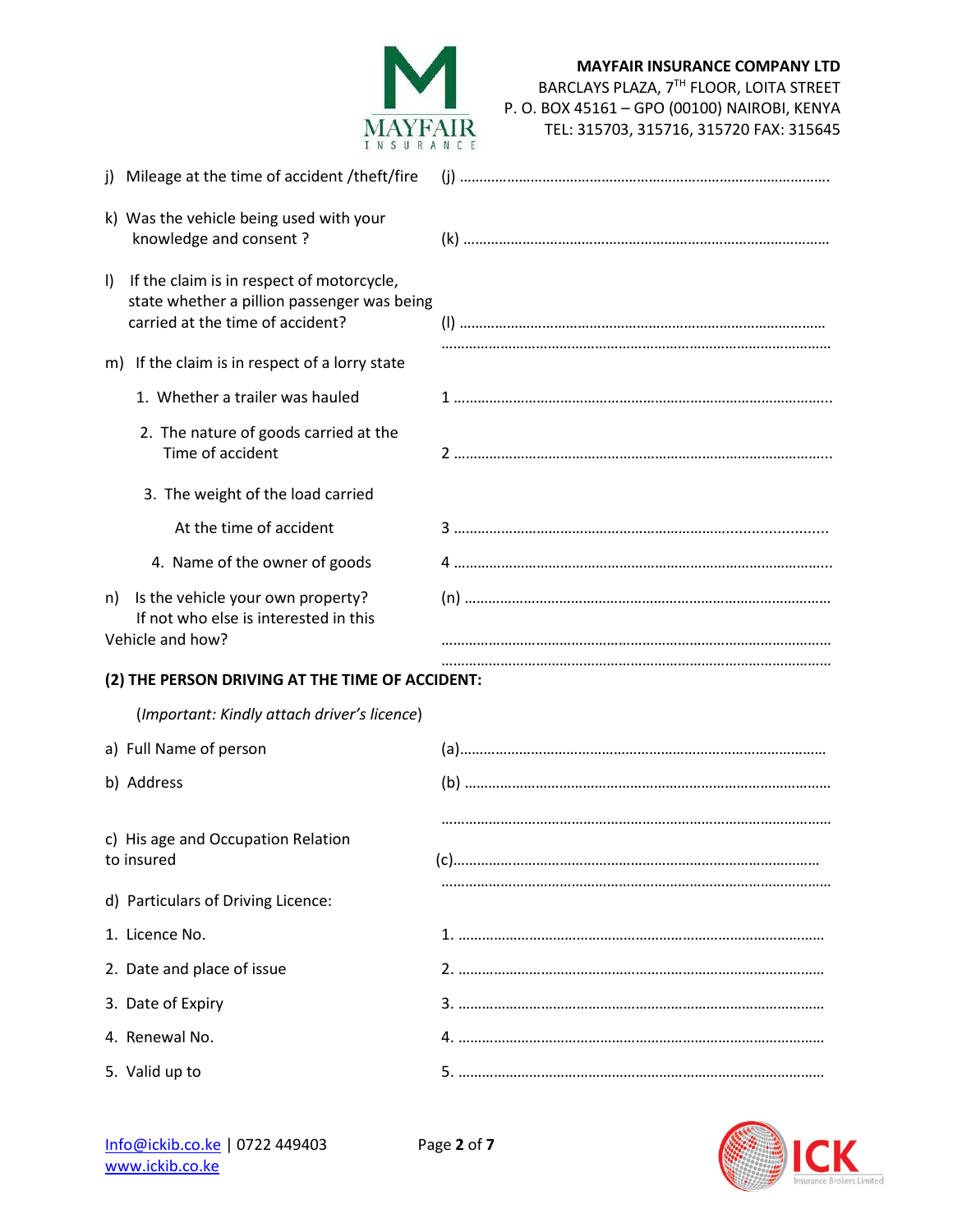

| j) Mileage at the time of accident /theft/fire                                                                                     |  |  |
|------------------------------------------------------------------------------------------------------------------------------------|--|--|
| k) Was the vehicle being used with your<br>knowledge and consent?                                                                  |  |  |
| If the claim is in respect of motorcycle,<br>I)<br>state whether a pillion passenger was being<br>carried at the time of accident? |  |  |
| m) If the claim is in respect of a lorry state                                                                                     |  |  |
| 1. Whether a trailer was hauled                                                                                                    |  |  |
| 2. The nature of goods carried at the<br>Time of accident                                                                          |  |  |
| 3. The weight of the load carried                                                                                                  |  |  |
| At the time of accident                                                                                                            |  |  |
| 4. Name of the owner of goods                                                                                                      |  |  |
| Is the vehicle your own property?<br>n)<br>If not who else is interested in this<br>Vehicle and how?                               |  |  |
| (2) THE PERSON DRIVING AT THE TIME OF ACCIDENT:                                                                                    |  |  |
| (Important: Kindly attach driver's licence)                                                                                        |  |  |
| a) Full Name of person                                                                                                             |  |  |
| b) Address                                                                                                                         |  |  |
|                                                                                                                                    |  |  |
| c) His age and Occupation Relation<br>to insured                                                                                   |  |  |
| d) Particulars of Driving Licence:                                                                                                 |  |  |
| 1. Licence No.                                                                                                                     |  |  |
| 2. Date and place of issue                                                                                                         |  |  |
| 3. Date of Expiry                                                                                                                  |  |  |
| 4. Renewal No.                                                                                                                     |  |  |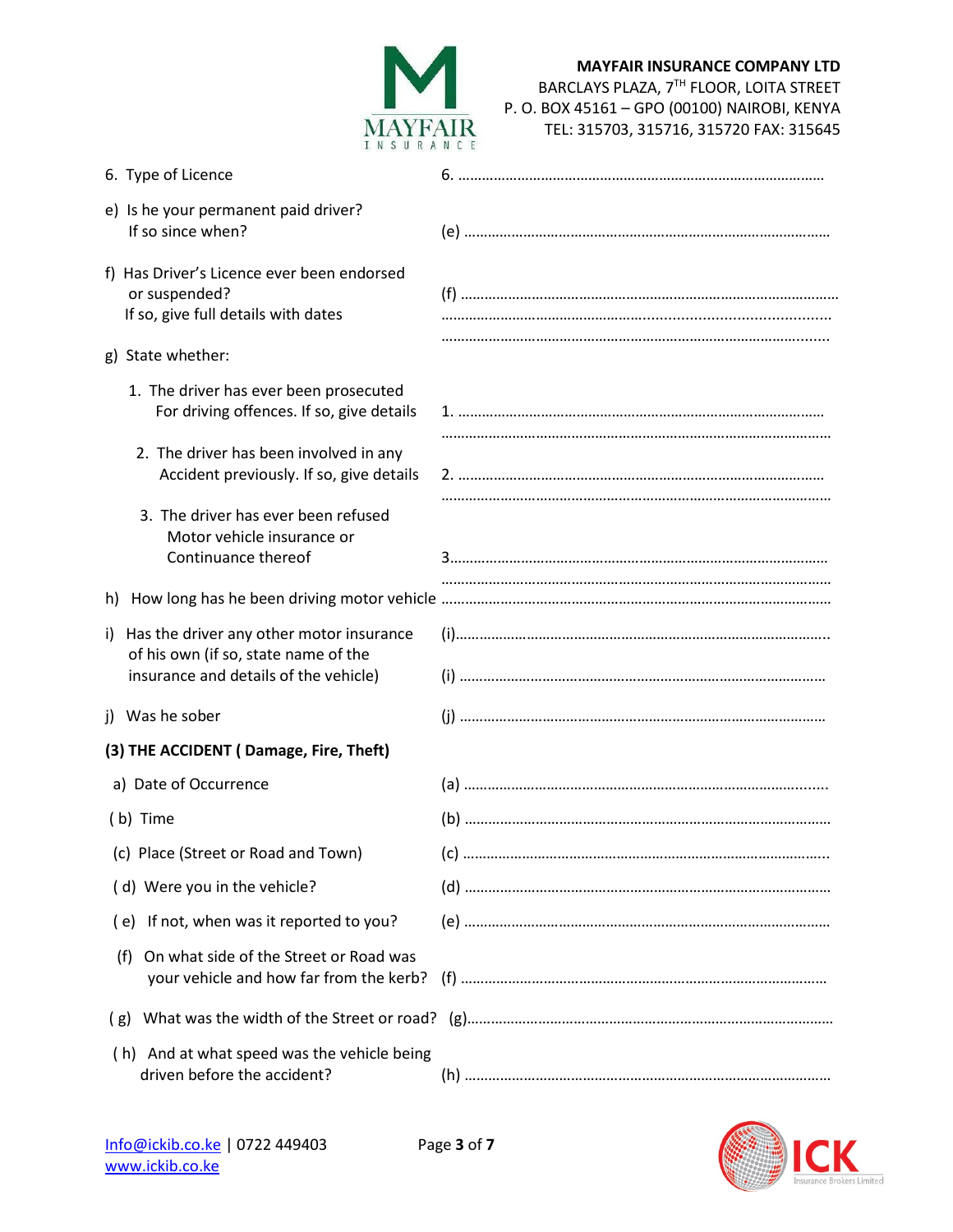

| 6. Type of Licence                                                                                                              |  |  |  |
|---------------------------------------------------------------------------------------------------------------------------------|--|--|--|
| e) Is he your permanent paid driver?<br>If so since when?                                                                       |  |  |  |
| f) Has Driver's Licence ever been endorsed<br>or suspended?<br>If so, give full details with dates                              |  |  |  |
| g) State whether:                                                                                                               |  |  |  |
| 1. The driver has ever been prosecuted<br>For driving offences. If so, give details                                             |  |  |  |
| 2. The driver has been involved in any<br>Accident previously. If so, give details                                              |  |  |  |
| 3. The driver has ever been refused<br>Motor vehicle insurance or<br>Continuance thereof                                        |  |  |  |
|                                                                                                                                 |  |  |  |
| Has the driver any other motor insurance<br>i)<br>of his own (if so, state name of the<br>insurance and details of the vehicle) |  |  |  |
| j) Was he sober                                                                                                                 |  |  |  |
| (3) THE ACCIDENT (Damage, Fire, Theft)                                                                                          |  |  |  |
| a) Date of Occurrence                                                                                                           |  |  |  |
| (b) Time                                                                                                                        |  |  |  |
| (c) Place (Street or Road and Town)                                                                                             |  |  |  |
| (d) Were you in the vehicle?                                                                                                    |  |  |  |
| (e) If not, when was it reported to you?                                                                                        |  |  |  |
| On what side of the Street or Road was<br>(f)<br>your vehicle and how far from the kerb?                                        |  |  |  |
| What was the width of the Street or road?<br>(g)                                                                                |  |  |  |
| (h) And at what speed was the vehicle being<br>driven before the accident?                                                      |  |  |  |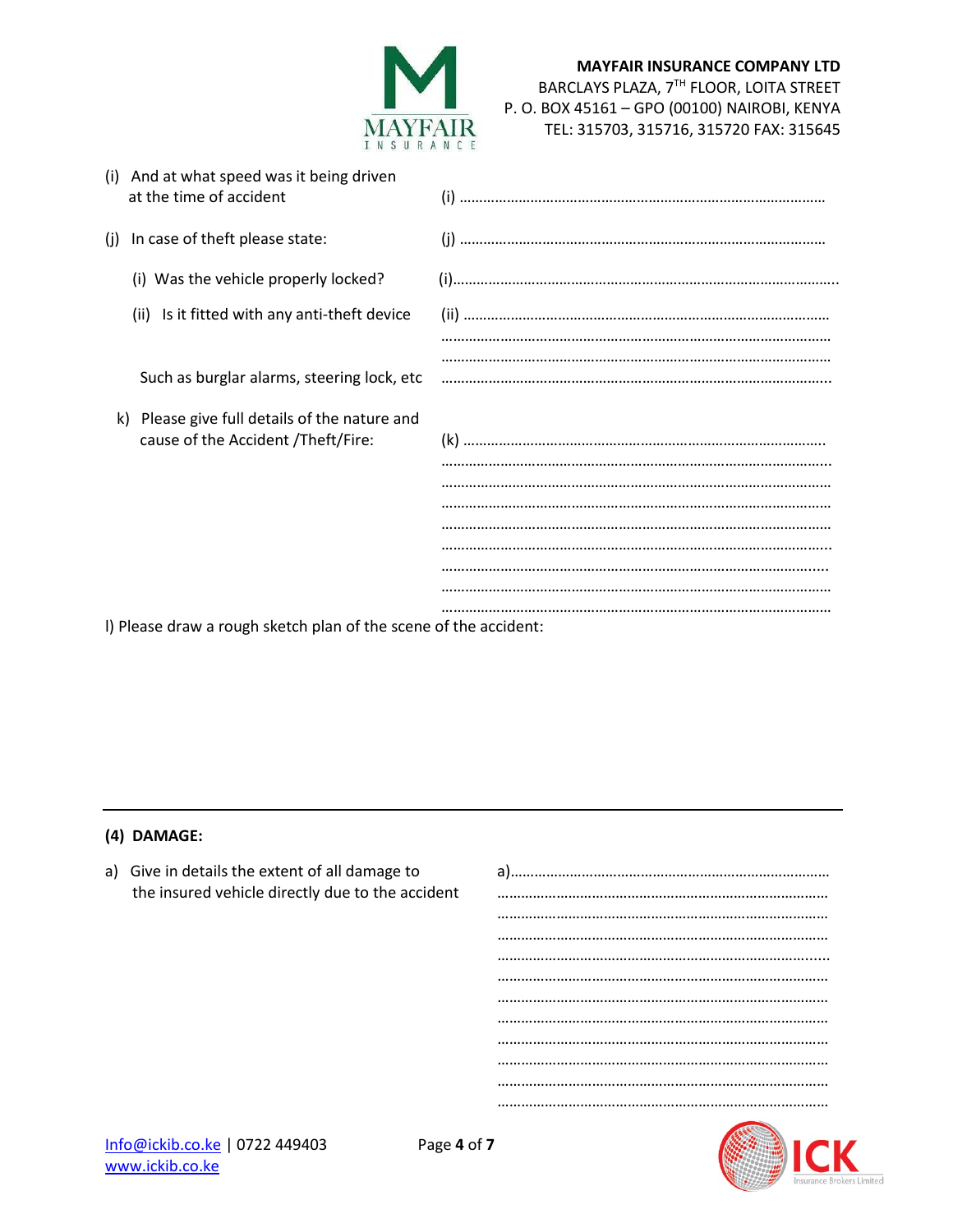

| (i) And at what speed was it being driven<br>at the time of accident                   |  |
|----------------------------------------------------------------------------------------|--|
| In case of theft please state:<br>(i)                                                  |  |
| (i) Was the vehicle properly locked?                                                   |  |
| (ii) Is it fitted with any anti-theft device                                           |  |
|                                                                                        |  |
| Such as burglar alarms, steering lock, etc                                             |  |
| Please give full details of the nature and<br>k)<br>cause of the Accident /Theft/Fire: |  |
|                                                                                        |  |
|                                                                                        |  |
|                                                                                        |  |
|                                                                                        |  |

l) Please draw a rough sketch plan of the scene of the accident:

## **(4) DAMAGE:**

a) Give in details the extent of all damage to a)……………………………………………………………………… the insured vehicle directly due to the accident **we are accident** and in the insurance in the insured vehicle directly due to the accident ………………………………………………………………………… ………………………………………………………………………… ……………………………………………………………………...... ………………………………………………………………………… ………………………………………………………………………… ………………………………………………………………………… ………………………………………………………………………… ………………………………………………………………………… …………………………………………………………………………



…………………………………………………………………………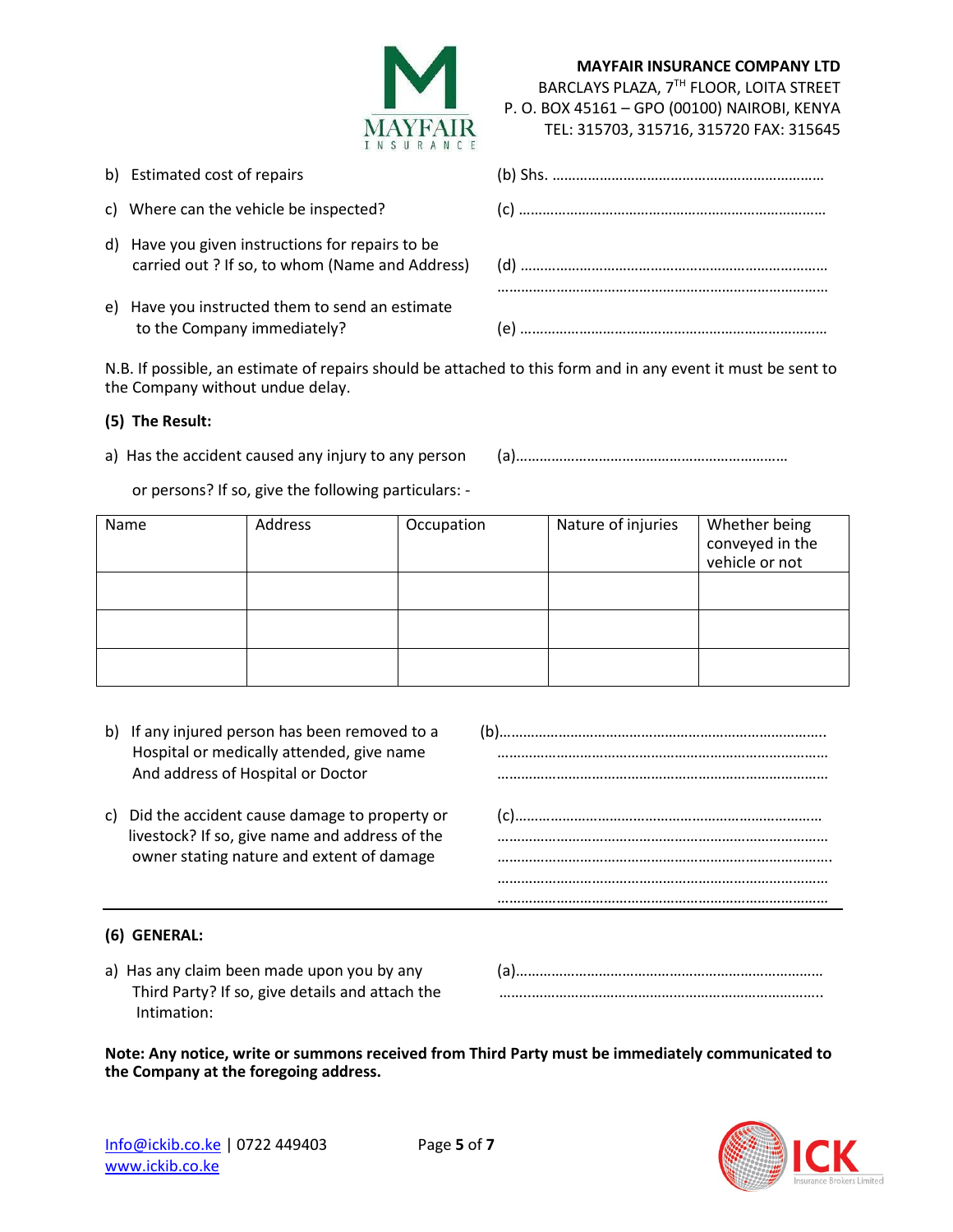

| <b>MAYFAIR INSURANCE COMPANY LTD</b>         |
|----------------------------------------------|
| BARCLAYS PLAZA, 7TH FLOOR, LOITA STREET      |
| P. O. BOX 45161 - GPO (00100) NAIROBI, KENYA |
| TEL: 315703, 315716, 315720 FAX: 315645      |

………………………………………………………………………………… …………………………………………………………………………

| b) Estimated cost of repairs                                                                        |  |
|-----------------------------------------------------------------------------------------------------|--|
| c) Where can the vehicle be inspected?                                                              |  |
| d) Have you given instructions for repairs to be<br>carried out ? If so, to whom (Name and Address) |  |
| e) Have you instructed them to send an estimate<br>to the Company immediately?                      |  |

N.B. If possible, an estimate of repairs should be attached to this form and in any event it must be sent to the Company without undue delay.

## **(5) The Result:**

a) Has the accident caused any injury to any person (a)…………………………………………………………………

or persons? If so, give the following particulars: -

| Name | Address | Occupation | Nature of injuries | Whether being<br>conveyed in the<br>vehicle or not |
|------|---------|------------|--------------------|----------------------------------------------------|
|      |         |            |                    |                                                    |
|      |         |            |                    |                                                    |
|      |         |            |                    |                                                    |

- b) If any injured person has been removed to a (b)……………………………………………………………………………… Hospital or medically attended, give name **manually as a manually manually as a manually a** tended, give name And address of Hospital or Doctor **manual contract and address of Hospital or Doctor** methods and manual contract methods and address of Hospital or Doctor
- c) Did the accident cause damage to property or (c)…………………………………………………………………… livestock? If so, give name and address of the ………………………………………………………………………… owner stating nature and extent of damage extension material contracts and extent of damage

## **(6) GENERAL:**

| a) Has any claim been made upon you by any      |  |
|-------------------------------------------------|--|
| Third Party? If so, give details and attach the |  |
| Intimation:                                     |  |

**Note: Any notice, write or summons received from Third Party must be immediately communicated to the Company at the foregoing address.**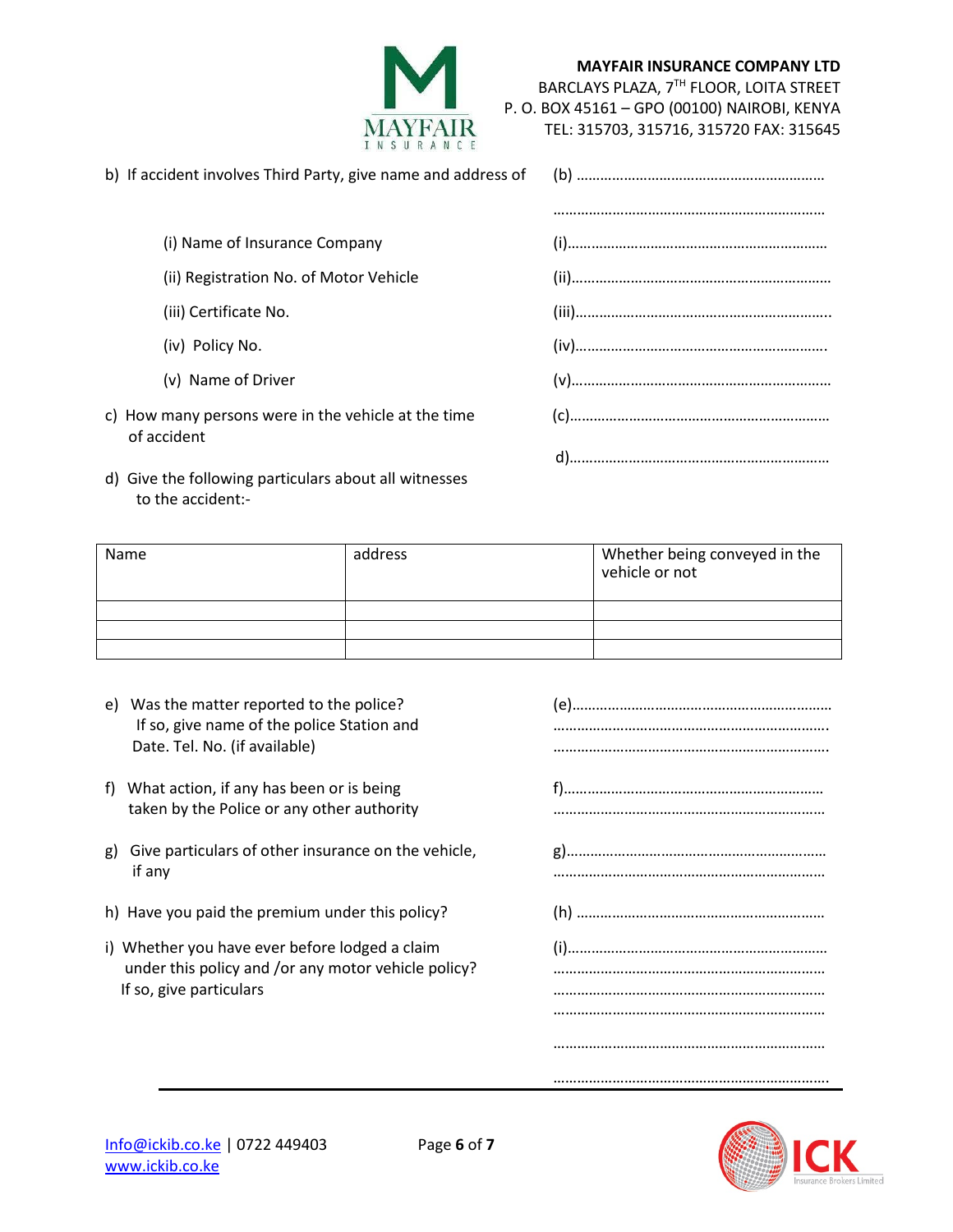

**MAYFAIR INSURANCE COMPANY LTD**

BARCLAYS PLAZA, 7TH FLOOR, LOITA STREET P. O. BOX 45161 – GPO (00100) NAIROBI, KENYA

|  | TEL: 315703, 315716, 315720 FAX: 315645 |
|--|-----------------------------------------|

| (i) Name of Insurance Company                                      |  |  |
|--------------------------------------------------------------------|--|--|
| (ii) Registration No. of Motor Vehicle                             |  |  |
| (iii) Certificate No.                                              |  |  |
| (iv) Policy No.                                                    |  |  |
| (v) Name of Driver                                                 |  |  |
| c) How many persons were in the vehicle at the time<br>of accident |  |  |
|                                                                    |  |  |

Name and address and an address and the Muslim environment of the Name of Whether being conveyed in the vehicle or not

d) Give the following particulars about all witnesses

to the accident:-

e) Was the matter reported to the police? (e)………………………………………………………… If so, give name of the police Station and ……………………………………………………………. Date. Tel. No. (if available) 2012 12: 2013 12: 2014 12: 2014 12: 2014 12: 2015 12: 2016 12: 2016 12: 2016 12: 2016 12: 2016 12: 2016 12: 2016 12: 2016 12: 2016 12: 2016 12: 2016 12: 2016 12: 2016 12: 2016 12: 2016 12: 201 f) What action, if any has been or is being f)………………………………………………………………………………………… taken by the Police or any other authority **with any order and the Collection** current content of the Police or any other authority g) Give particulars of other insurance on the vehicle, g)………………………………………………………… if any …………………………………………………………… h) Have you paid the premium under this policy? (h) ……………………………………………………… i) Whether you have ever before lodged a claim (i)……………………………………………………………………………… under this policy and /or any motor vehicle policy? **we are all interesting the vehicle** policy? If so, give particulars **EXECUTES** 2012 11:00 12:00 12:00 12:00 12:00 12:00 12:00 12:00 12:00 12:00 12:00 12:00 1 ……………………………………………………………



……………………………………………………………

…………………………………………………………….